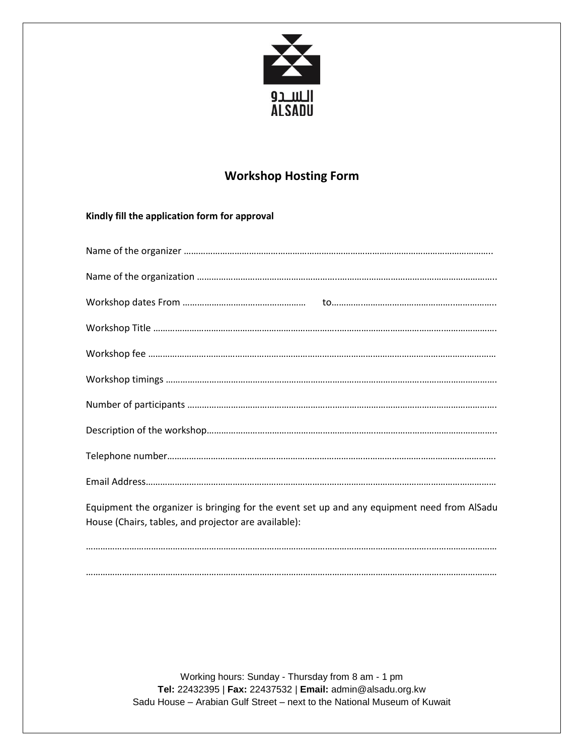

## **Workshop Hosting Form**

## **Kindly fill the application form for approval**

| Equipment the organizer is bringing for the event set up and any equipment need from AlSadu<br>House (Chairs, tables, and projector are available): |
|-----------------------------------------------------------------------------------------------------------------------------------------------------|
|                                                                                                                                                     |

…………………………………………………………………………………………………………………………..…………………………

Working hours: Sunday - Thursday from 8 am - 1 pm **Tel:** 22432395 | **Fax:** 22437532 | **Email:** [admin@alsadu.org.kw](mailto:admin@alsadu.org.kw) Sadu House – Arabian Gulf Street – next to the National Museum of Kuwait